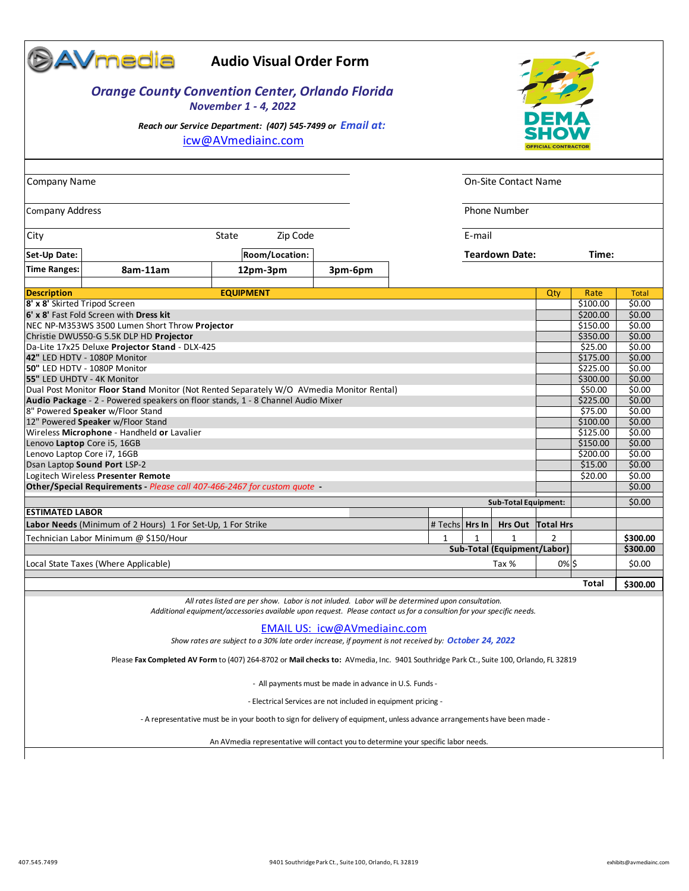|                                                                                                                          | <b>©AVmedia</b>                                                                           | <b>Audio Visual Order Form</b>                                                                                                                                                                                           |                              |  |                  |   |                             |                            |                      |                  |
|--------------------------------------------------------------------------------------------------------------------------|-------------------------------------------------------------------------------------------|--------------------------------------------------------------------------------------------------------------------------------------------------------------------------------------------------------------------------|------------------------------|--|------------------|---|-----------------------------|----------------------------|----------------------|------------------|
| <b>Orange County Convention Center, Orlando Florida</b><br><b>November 1 - 4, 2022</b>                                   |                                                                                           |                                                                                                                                                                                                                          |                              |  |                  |   |                             |                            |                      |                  |
|                                                                                                                          |                                                                                           | Reach our Service Department: (407) 545-7499 or Email at:<br>icw@AVmediainc.com                                                                                                                                          |                              |  |                  |   |                             | <b>OFFICIAL CONTRACTOR</b> |                      |                  |
| <b>Company Name</b>                                                                                                      |                                                                                           |                                                                                                                                                                                                                          |                              |  |                  |   | On-Site Contact Name        |                            |                      |                  |
|                                                                                                                          |                                                                                           |                                                                                                                                                                                                                          |                              |  |                  |   |                             |                            |                      |                  |
| <b>Phone Number</b><br><b>Company Address</b>                                                                            |                                                                                           |                                                                                                                                                                                                                          |                              |  |                  |   |                             |                            |                      |                  |
| E-mail<br>Zip Code<br>State<br>City                                                                                      |                                                                                           |                                                                                                                                                                                                                          |                              |  |                  |   |                             |                            |                      |                  |
| Set-Up Date:                                                                                                             | Room/Location:<br><b>Teardown Date:</b>                                                   |                                                                                                                                                                                                                          |                              |  |                  |   |                             |                            | Time:                |                  |
| <b>Time Ranges:</b>                                                                                                      | 8am-11am                                                                                  | 12pm-3pm                                                                                                                                                                                                                 | 3pm-6pm                      |  |                  |   |                             |                            |                      |                  |
| <b>Description</b>                                                                                                       |                                                                                           | <b>EQUIPMENT</b>                                                                                                                                                                                                         |                              |  |                  |   |                             | Qty                        | Rate                 | <b>Total</b>     |
| 8' x 8' Skirted Tripod Screen                                                                                            |                                                                                           |                                                                                                                                                                                                                          |                              |  |                  |   |                             |                            | \$100.00             | \$0.00           |
|                                                                                                                          | 6' x 8' Fast Fold Screen with Dress kit<br>NEC NP-M353WS 3500 Lumen Short Throw Projector |                                                                                                                                                                                                                          |                              |  |                  |   |                             |                            | \$200.00<br>\$150.00 | \$0.00<br>\$0.00 |
|                                                                                                                          |                                                                                           |                                                                                                                                                                                                                          |                              |  |                  |   |                             |                            | \$350.00             | \$0.00           |
|                                                                                                                          | Christie DWU550-G 5.5K DLP HD Projector<br>Da-Lite 17x25 Deluxe Projector Stand - DLX-425 |                                                                                                                                                                                                                          |                              |  |                  |   |                             |                            | \$25.00              | \$0.00           |
| 42" LED HDTV - 1080P Monitor                                                                                             |                                                                                           |                                                                                                                                                                                                                          |                              |  |                  |   |                             |                            | \$175.00             | \$0.00           |
|                                                                                                                          | 50" LED HDTV - 1080P Monitor                                                              |                                                                                                                                                                                                                          |                              |  |                  |   |                             |                            | \$225.00             | \$0.00           |
| 55" LED UHDTV - 4K Monitor                                                                                               |                                                                                           |                                                                                                                                                                                                                          |                              |  |                  |   |                             |                            | \$300.00             | \$0.00<br>\$0.00 |
|                                                                                                                          | Dual Post Monitor Floor Stand Monitor (Not Rented Separately W/O AVmedia Monitor Rental)  |                                                                                                                                                                                                                          |                              |  |                  |   |                             |                            | \$50.00<br>\$225.00  | \$0.00           |
| Audio Package - 2 - Powered speakers on floor stands, 1 - 8 Channel Audio Mixer<br>8" Powered Speaker w/Floor Stand      |                                                                                           |                                                                                                                                                                                                                          |                              |  |                  |   |                             |                            | \$75.00              | \$0.00           |
| 12" Powered Speaker w/Floor Stand                                                                                        |                                                                                           |                                                                                                                                                                                                                          |                              |  |                  |   |                             |                            | \$100.00             | \$0.00           |
| Wireless Microphone - Handheld or Lavalier                                                                               |                                                                                           |                                                                                                                                                                                                                          |                              |  |                  |   |                             |                            | \$125.00             | \$0.00           |
| Lenovo Laptop Core i5, 16GB                                                                                              |                                                                                           |                                                                                                                                                                                                                          |                              |  |                  |   |                             |                            | \$150.00             | \$0.00           |
| Lenovo Laptop Core i7, 16GB<br>Dsan Laptop Sound Port LSP-2                                                              |                                                                                           |                                                                                                                                                                                                                          |                              |  |                  |   |                             |                            | \$200.00<br>\$15.00  | \$0.00<br>\$0.00 |
| Logitech Wireless Presenter Remote<br>\$20.00                                                                            |                                                                                           |                                                                                                                                                                                                                          |                              |  |                  |   |                             | \$0.00                     |                      |                  |
|                                                                                                                          | Other/Special Requirements - Please call 407-466-2467 for custom quote -                  |                                                                                                                                                                                                                          |                              |  |                  |   |                             |                            |                      | \$0.00           |
|                                                                                                                          |                                                                                           |                                                                                                                                                                                                                          |                              |  |                  |   | <b>Sub-Total Equipment:</b> |                            |                      | \$0.00           |
| <b>ESTIMATED LABOR</b>                                                                                                   |                                                                                           |                                                                                                                                                                                                                          |                              |  |                  |   |                             |                            |                      |                  |
|                                                                                                                          | Labor Needs (Minimum of 2 Hours) 1 For Set-Up, 1 For Strike                               |                                                                                                                                                                                                                          |                              |  | # Techs   Hrs In |   |                             | Hrs Out Total Hrs          |                      |                  |
|                                                                                                                          | Technician Labor Minimum @ \$150/Hour                                                     |                                                                                                                                                                                                                          |                              |  | 1                | 1 | 1                           | 2                          |                      | \$300.00         |
|                                                                                                                          |                                                                                           |                                                                                                                                                                                                                          |                              |  |                  |   | Sub-Total (Equipment/Labor) |                            |                      | \$300.00         |
|                                                                                                                          | Local State Taxes (Where Applicable)                                                      |                                                                                                                                                                                                                          |                              |  |                  |   | Tax %                       | 0% \$                      |                      | \$0.00           |
|                                                                                                                          |                                                                                           |                                                                                                                                                                                                                          |                              |  |                  |   |                             |                            |                      |                  |
|                                                                                                                          |                                                                                           |                                                                                                                                                                                                                          |                              |  |                  |   |                             |                            | Total                | \$300.00         |
|                                                                                                                          |                                                                                           | All rates listed are per show. Labor is not inluded. Labor will be determined upon consultation.<br>Additional equipment/accessories available upon request. Please contact us for a consultion for your specific needs. |                              |  |                  |   |                             |                            |                      |                  |
|                                                                                                                          |                                                                                           | Show rates are subject to a 30% late order increase, if payment is not received by: October 24, 2022                                                                                                                     | EMAIL US: icw@AVmediainc.com |  |                  |   |                             |                            |                      |                  |
|                                                                                                                          |                                                                                           | Please Fax Completed AV Form to (407) 264-8702 or Mail checks to: AVmedia, Inc. 9401 Southridge Park Ct., Suite 100, Orlando, FL 32819                                                                                   |                              |  |                  |   |                             |                            |                      |                  |
| - All payments must be made in advance in U.S. Funds -                                                                   |                                                                                           |                                                                                                                                                                                                                          |                              |  |                  |   |                             |                            |                      |                  |
| - Electrical Services are not included in equipment pricing -                                                            |                                                                                           |                                                                                                                                                                                                                          |                              |  |                  |   |                             |                            |                      |                  |
| - A representative must be in your booth to sign for delivery of equipment, unless advance arrangements have been made - |                                                                                           |                                                                                                                                                                                                                          |                              |  |                  |   |                             |                            |                      |                  |
|                                                                                                                          |                                                                                           | An AVmedia representative will contact you to determine your specific labor needs.                                                                                                                                       |                              |  |                  |   |                             |                            |                      |                  |
|                                                                                                                          |                                                                                           |                                                                                                                                                                                                                          |                              |  |                  |   |                             |                            |                      |                  |